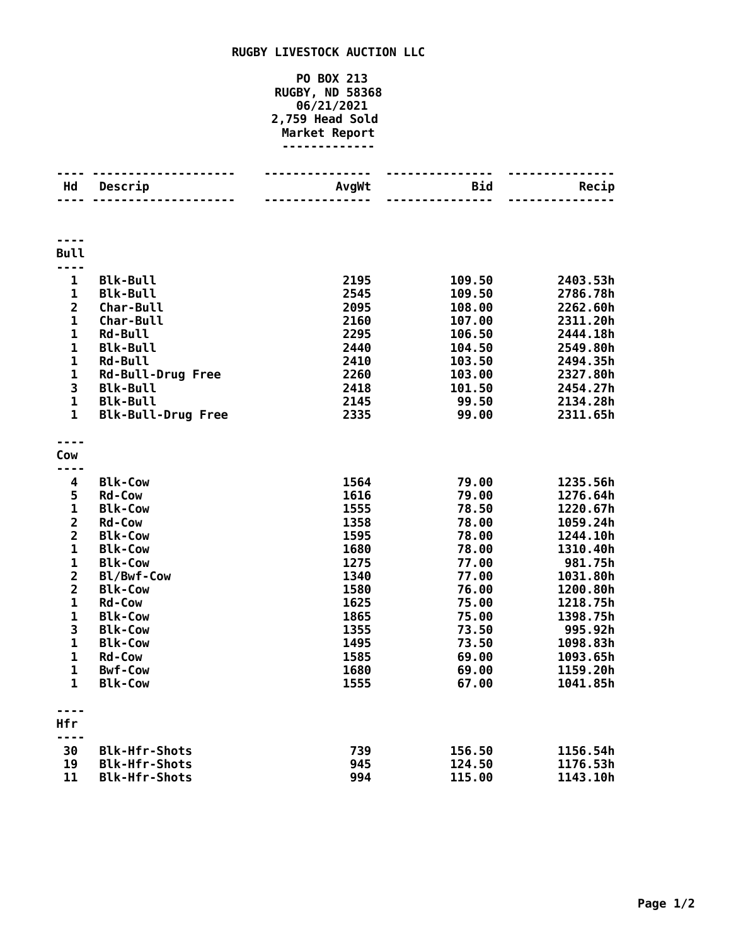## **RUGBY LIVESTOCK AUCTION LLC**

## **PO BOX 213 RUGBY, ND 58368 06/21/2021 2,759 Head Sold Market Report -------------**

| Hd                             | Descrip                      | AvgWt        | <b>Bid</b>     | Recip               |
|--------------------------------|------------------------------|--------------|----------------|---------------------|
|                                |                              |              |                |                     |
| <b>Bull</b><br>$- - -$         |                              |              |                |                     |
| 1                              | <b>Blk-Bull</b>              | 2195         | 109.50         | 2403.53h            |
| $\mathbf{1}$                   | <b>Blk-Bull</b>              | 2545         | 109.50         | 2786.78h            |
| $\overline{\mathbf{2}}$        | <b>Char-Bull</b>             | 2095         | 108.00         | 2262.60h            |
| 1                              | <b>Char-Bull</b>             | 2160         | 107.00         | 2311.20h            |
| 1                              | <b>Rd-Bull</b>               | 2295         | 106.50         | 2444.18h            |
| $\mathbf 1$                    | <b>Blk-Bull</b>              | 2440         | 104.50         | 2549.80h            |
| 1                              | Rd-Bull                      | 2410         | 103.50         | 2494.35h            |
| $\mathbf{1}$                   | <b>Rd-Bull-Drug Free</b>     | 2260         | 103.00         | 2327.80h            |
| 3                              | <b>Blk-Bull</b>              | 2418         | 101.50         | 2454.27h            |
| $\mathbf{1}$                   | <b>Blk-Bull</b>              | 2145         | 99.50          | 2134.28h            |
| 1                              | <b>Blk-Bull-Drug Free</b>    | 2335         | 99.00          | 2311.65h            |
| Cow                            |                              |              |                |                     |
| ----                           |                              |              |                |                     |
| 4                              | <b>Blk-Cow</b>               | 1564         | 79.00          | 1235.56h            |
| 5                              | Rd-Cow                       | 1616         | 79.00          | 1276.64h            |
| $\mathbf{1}$                   | <b>Blk-Cow</b>               | 1555         | 78.50          | 1220.67h            |
| $\overline{\mathbf{c}}$        | <b>Rd-Cow</b>                | 1358         | 78.00          | 1059.24h            |
| $\overline{\mathbf{2}}$        | <b>Blk-Cow</b>               | 1595         | 78.00          | 1244.10h            |
| $\mathbf{1}$                   | <b>Blk-Cow</b>               | 1680         | 78.00          | 1310.40h            |
| $\mathbf{1}$<br>$\overline{2}$ | <b>Blk-Cow</b><br>Bl/Bwf-Cow | 1275<br>1340 | 77.00          | 981.75h<br>1031.80h |
| $\overline{\mathbf{c}}$        | <b>Blk-Cow</b>               | 1580         | 77.00<br>76.00 | 1200.80h            |
| $\mathbf{1}$                   | <b>Rd-Cow</b>                | 1625         | 75.00          | 1218.75h            |
| 1                              | <b>Blk-Cow</b>               | 1865         | 75.00          | 1398.75h            |
| 3                              | <b>Blk-Cow</b>               | 1355         | 73.50          | 995.92h             |
| $\mathbf{1}$                   | <b>Blk-Cow</b>               | 1495         | 73.50          | 1098.83h            |
| $\mathbf{1}$                   | <b>Rd-Cow</b>                | 1585         | 69.00          | 1093.65h            |
| $\mathbf{1}$                   | <b>Bwf-Cow</b>               | 1680         | 69.00          | 1159.20h            |
| 1                              | <b>Blk-Cow</b>               | 1555         | 67.00          | 1041.85h            |
| Hfr                            |                              |              |                |                     |
|                                |                              |              |                |                     |
| 30                             | <b>Blk-Hfr-Shots</b>         | 739          | 156.50         | 1156.54h            |
| 19                             | <b>Blk-Hfr-Shots</b>         | 945          | 124.50         | 1176.53h            |
| 11                             | <b>Blk-Hfr-Shots</b>         | 994          | 115.00         | 1143.10h            |